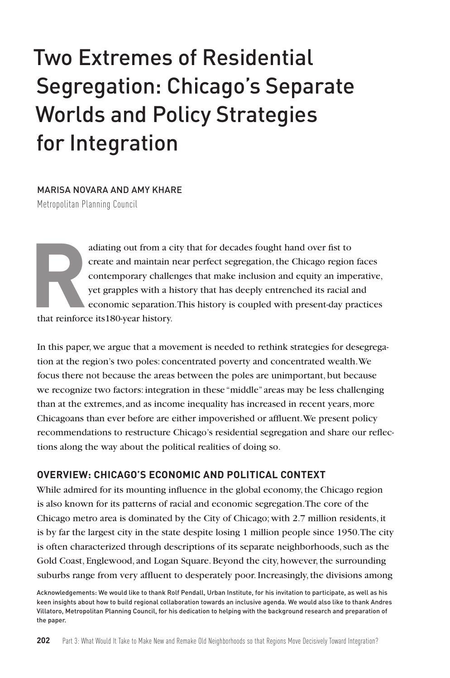# Two Extremes of Residential Segregation: Chicago's Separate Worlds and Policy Strategies for Integration

MARISA NOVARA AND AMY KHARE

Metropolitan Planning Council

adiating out from a city that for decades fought hand over fist to create and maintain near perfect segregation, the Chicago region contemporary challenges that make inclusion and equity an import grapples with a history t create and maintain near perfect segregation, the Chicago region faces contemporary challenges that make inclusion and equity an imperative, yet grapples with a history that has deeply entrenched its racial and economic separation. This history is coupled with present-day practices

that reinforce its180-year history.

In this paper, we argue that a movement is needed to rethink strategies for desegregation at the region's two poles: concentrated poverty and concentrated wealth. We focus there not because the areas between the poles are unimportant, but because we recognize two factors: integration in these "middle" areas may be less challenging than at the extremes, and as income inequality has increased in recent years, more Chicagoans than ever before are either impoverished or affluent. We present policy recommendations to restructure Chicago's residential segregation and share our reflections along the way about the political realities of doing so.

## **OVERVIEW: CHICAGO'S ECONOMIC AND POLITICAL CONTEXT**

While admired for its mounting influence in the global economy, the Chicago region is also known for its patterns of racial and economic segregation. The core of the Chicago metro area is dominated by the City of Chicago; with 2.7 million residents, it is by far the largest city in the state despite losing 1 million people since 1950. The city is often characterized through descriptions of its separate neighborhoods, such as the Gold Coast, Englewood, and Logan Square. Beyond the city, however, the surrounding suburbs range from very affluent to desperately poor. Increasingly, the divisions among

Acknowledgements: We would like to thank Rolf Pendall, Urban Institute, for his invitation to participate, as well as his keen insights about how to build regional collaboration towards an inclusive agenda. We would also like to thank Andres Villatoro, Metropolitan Planning Council, for his dedication to helping with the background research and preparation of the paper.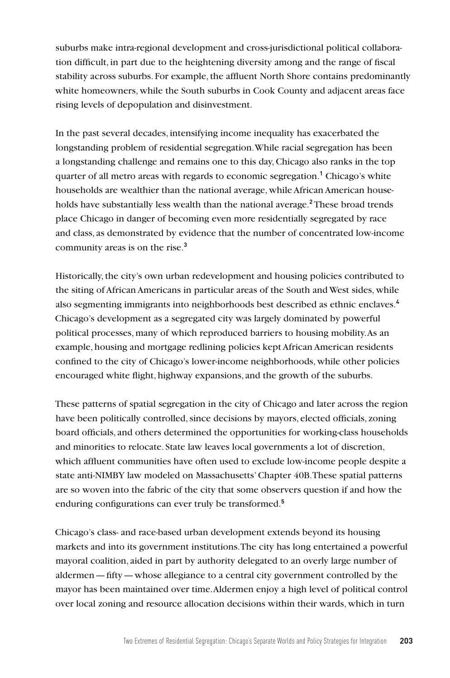suburbs make intra-regional development and cross-jurisdictional political collaboration difficult, in part due to the heightening diversity among and the range of fiscal stability across suburbs. For example, the affluent North Shore contains predominantly white homeowners, while the South suburbs in Cook County and adjacent areas face rising levels of depopulation and disinvestment.

In the past several decades, intensifying income inequality has exacerbated the longstanding problem of residential segregation. While racial segregation has been a longstanding challenge and remains one to this day, Chicago also ranks in the top quarter of all metro areas with regards to economic segregation.**<sup>1</sup>** Chicago's white households are wealthier than the national average, while African American households have substantially less wealth than the national average.**<sup>2</sup>** These broad trends place Chicago in danger of becoming even more residentially segregated by race and class, as demonstrated by evidence that the number of concentrated low-income community areas is on the rise.**<sup>3</sup>**

Historically, the city's own urban redevelopment and housing policies contributed to the siting of African Americans in particular areas of the South and West sides, while also segmenting immigrants into neighborhoods best described as ethnic enclaves.**<sup>4</sup>** Chicago's development as a segregated city was largely dominated by powerful political processes, many of which reproduced barriers to housing mobility. As an example, housing and mortgage redlining policies kept African American residents confined to the city of Chicago's lower-income neighborhoods, while other policies encouraged white flight, highway expansions, and the growth of the suburbs.

These patterns of spatial segregation in the city of Chicago and later across the region have been politically controlled, since decisions by mayors, elected officials, zoning board officials, and others determined the opportunities for working-class households and minorities to relocate. State law leaves local governments a lot of discretion, which affluent communities have often used to exclude low-income people despite a state anti-NIMBY law modeled on Massachusetts' Chapter 40B. These spatial patterns are so woven into the fabric of the city that some observers question if and how the enduring configurations can ever truly be transformed.**<sup>5</sup>**

Chicago's class- and race-based urban development extends beyond its housing markets and into its government institutions. The city has long entertained a powerful mayoral coalition, aided in part by authority delegated to an overly large number of aldermen—fifty—whose allegiance to a central city government controlled by the mayor has been maintained over time. Aldermen enjoy a high level of political control over local zoning and resource allocation decisions within their wards, which in turn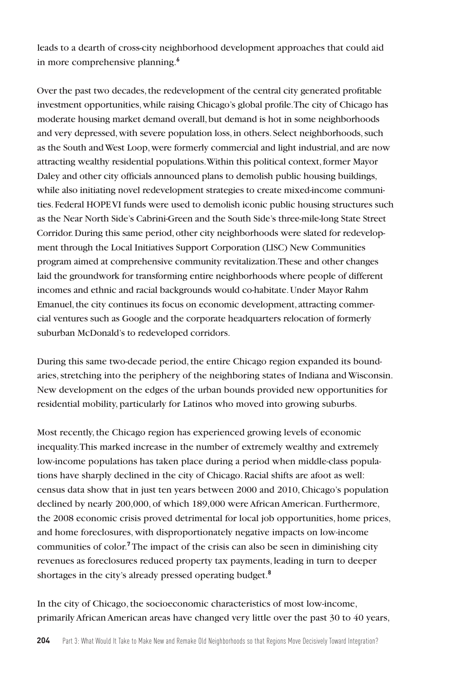leads to a dearth of cross-city neighborhood development approaches that could aid in more comprehensive planning.**<sup>6</sup>**

Over the past two decades, the redevelopment of the central city generated profitable investment opportunities, while raising Chicago's global profile. The city of Chicago has moderate housing market demand overall, but demand is hot in some neighborhoods and very depressed, with severe population loss, in others. Select neighborhoods, such as the South and West Loop, were formerly commercial and light industrial, and are now attracting wealthy residential populations. Within this political context, former Mayor Daley and other city officials announced plans to demolish public housing buildings, while also initiating novel redevelopment strategies to create mixed-income communities. Federal HOPE VI funds were used to demolish iconic public housing structures such as the Near North Side's Cabrini-Green and the South Side's three-mile-long State Street Corridor. During this same period, other city neighborhoods were slated for redevelopment through the Local Initiatives Support Corporation (LISC) New Communities program aimed at comprehensive community revitalization. These and other changes laid the groundwork for transforming entire neighborhoods where people of different incomes and ethnic and racial backgrounds would co-habitate. Under Mayor Rahm Emanuel, the city continues its focus on economic development, attracting commercial ventures such as Google and the corporate headquarters relocation of formerly suburban McDonald's to redeveloped corridors.

During this same two-decade period, the entire Chicago region expanded its boundaries, stretching into the periphery of the neighboring states of Indiana and Wisconsin. New development on the edges of the urban bounds provided new opportunities for residential mobility, particularly for Latinos who moved into growing suburbs.

Most recently, the Chicago region has experienced growing levels of economic inequality. This marked increase in the number of extremely wealthy and extremely low-income populations has taken place during a period when middle-class populations have sharply declined in the city of Chicago. Racial shifts are afoot as well: census data show that in just ten years between 2000 and 2010, Chicago's population declined by nearly 200,000, of which 189,000 were African American. Furthermore, the 2008 economic crisis proved detrimental for local job opportunities, home prices, and home foreclosures, with disproportionately negative impacts on low-income communities of color.**<sup>7</sup>**The impact of the crisis can also be seen in diminishing city revenues as foreclosures reduced property tax payments, leading in turn to deeper shortages in the city's already pressed operating budget.**<sup>8</sup>**

In the city of Chicago, the socioeconomic characteristics of most low-income, primarily African American areas have changed very little over the past 30 to 40 years,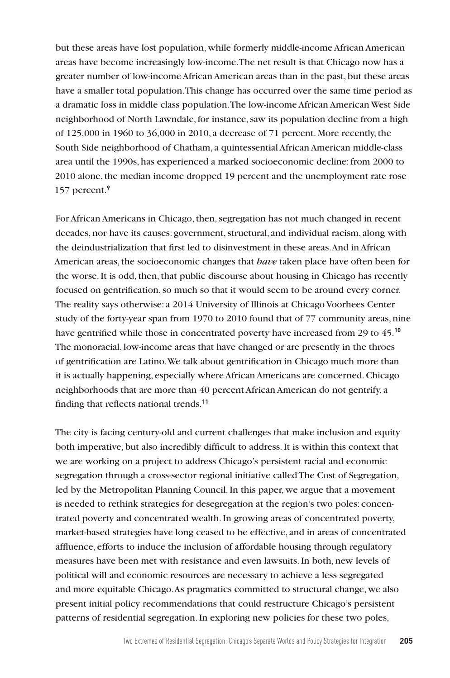but these areas have lost population, while formerly middle-income African American areas have become increasingly low-income. The net result is that Chicago now has a greater number of low-income African American areas than in the past, but these areas have a smaller total population. This change has occurred over the same time period as a dramatic loss in middle class population. The low-income African American West Side neighborhood of North Lawndale, for instance, saw its population decline from a high of 125,000 in 1960 to 36,000 in 2010, a decrease of 71 percent. More recently, the South Side neighborhood of Chatham, a quintessential African American middle-class area until the 1990s, has experienced a marked socioeconomic decline: from 2000 to 2010 alone, the median income dropped 19 percent and the unemployment rate rose 157 percent.**<sup>9</sup>**

For African Americans in Chicago, then, segregation has not much changed in recent decades, nor have its causes: government, structural, and individual racism, along with the deindustrialization that first led to disinvestment in these areas. And in African American areas, the socioeconomic changes that *have* taken place have often been for the worse. It is odd, then, that public discourse about housing in Chicago has recently focused on gentrification, so much so that it would seem to be around every corner. The reality says otherwise: a 2014 University of Illinois at Chicago Voorhees Center study of the forty-year span from 1970 to 2010 found that of 77 community areas, nine have gentrified while those in concentrated poverty have increased from 29 to 45.**<sup>10</sup>** The monoracial, low-income areas that have changed or are presently in the throes of gentrification are Latino. We talk about gentrification in Chicago much more than it is actually happening, especially where African Americans are concerned. Chicago neighborhoods that are more than 40 percent African American do not gentrify, a finding that reflects national trends.**<sup>11</sup>**

The city is facing century-old and current challenges that make inclusion and equity both imperative, but also incredibly difficult to address. It is within this context that we are working on a project to address Chicago's persistent racial and economic segregation through a cross-sector regional initiative called The Cost of Segregation, led by the Metropolitan Planning Council. In this paper, we argue that a movement is needed to rethink strategies for desegregation at the region's two poles: concentrated poverty and concentrated wealth. In growing areas of concentrated poverty, market-based strategies have long ceased to be effective, and in areas of concentrated affluence, efforts to induce the inclusion of affordable housing through regulatory measures have been met with resistance and even lawsuits. In both, new levels of political will and economic resources are necessary to achieve a less segregated and more equitable Chicago. As pragmatics committed to structural change, we also present initial policy recommendations that could restructure Chicago's persistent patterns of residential segregation. In exploring new policies for these two poles,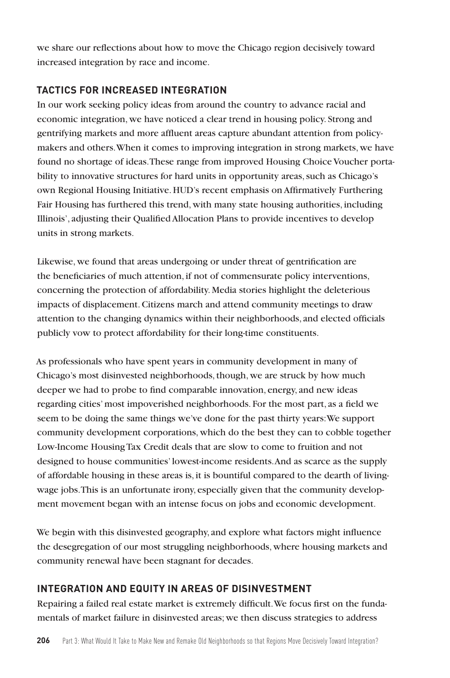we share our reflections about how to move the Chicago region decisively toward increased integration by race and income.

# **TACTICS FOR INCREASED INTEGRATION**

In our work seeking policy ideas from around the country to advance racial and economic integration, we have noticed a clear trend in housing policy. Strong and gentrifying markets and more affluent areas capture abundant attention from policymakers and others. When it comes to improving integration in strong markets, we have found no shortage of ideas. These range from improved Housing Choice Voucher portability to innovative structures for hard units in opportunity areas, such as Chicago's own Regional Housing Initiative. HUD's recent emphasis on Affirmatively Furthering Fair Housing has furthered this trend, with many state housing authorities, including Illinois', adjusting their Qualified Allocation Plans to provide incentives to develop units in strong markets.

Likewise, we found that areas undergoing or under threat of gentrification are the beneficiaries of much attention, if not of commensurate policy interventions, concerning the protection of affordability. Media stories highlight the deleterious impacts of displacement. Citizens march and attend community meetings to draw attention to the changing dynamics within their neighborhoods, and elected officials publicly vow to protect affordability for their long-time constituents.

As professionals who have spent years in community development in many of Chicago's most disinvested neighborhoods, though, we are struck by how much deeper we had to probe to find comparable innovation, energy, and new ideas regarding cities' most impoverished neighborhoods. For the most part, as a field we seem to be doing the same things we've done for the past thirty years: We support community development corporations, which do the best they can to cobble together Low-Income Housing Tax Credit deals that are slow to come to fruition and not designed to house communities' lowest-income residents. And as scarce as the supply of affordable housing in these areas is, it is bountiful compared to the dearth of livingwage jobs. This is an unfortunate irony, especially given that the community development movement began with an intense focus on jobs and economic development.

We begin with this disinvested geography, and explore what factors might influence the desegregation of our most struggling neighborhoods, where housing markets and community renewal have been stagnant for decades.

# **INTEGRATION AND EQUITY IN AREAS OF DISINVESTMENT**

Repairing a failed real estate market is extremely difficult. We focus first on the fundamentals of market failure in disinvested areas; we then discuss strategies to address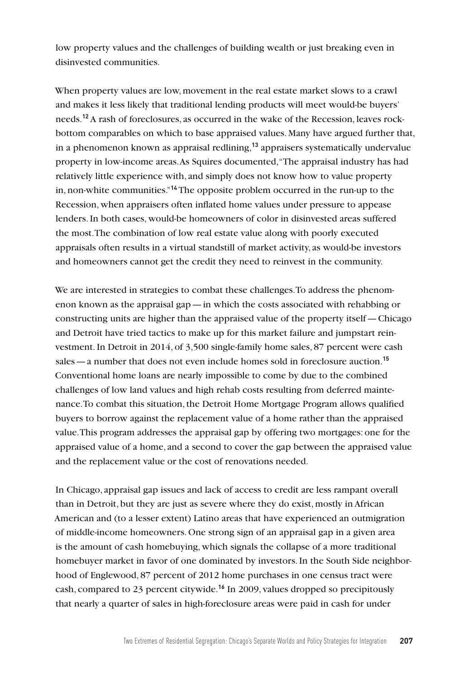low property values and the challenges of building wealth or just breaking even in disinvested communities.

When property values are low, movement in the real estate market slows to a crawl and makes it less likely that traditional lending products will meet would-be buyers' needs.**12** A rash of foreclosures, as occurred in the wake of the Recession, leaves rockbottom comparables on which to base appraised values. Many have argued further that, in a phenomenon known as appraisal redlining,**<sup>13</sup>** appraisers systematically undervalue property in low-income areas. As Squires documented, "The appraisal industry has had relatively little experience with, and simply does not know how to value property in, non-white communities."**<sup>14</sup>** The opposite problem occurred in the run-up to the Recession, when appraisers often inflated home values under pressure to appease lenders. In both cases, would-be homeowners of color in disinvested areas suffered the most. The combination of low real estate value along with poorly executed appraisals often results in a virtual standstill of market activity, as would-be investors and homeowners cannot get the credit they need to reinvest in the community.

We are interested in strategies to combat these challenges. To address the phenomenon known as the appraisal gap—in which the costs associated with rehabbing or constructing units are higher than the appraised value of the property itself—Chicago and Detroit have tried tactics to make up for this market failure and jumpstart reinvestment. In Detroit in 2014, of 3,500 single-family home sales, 87 percent were cash sales—a number that does not even include homes sold in foreclosure auction.**<sup>15</sup>** Conventional home loans are nearly impossible to come by due to the combined challenges of low land values and high rehab costs resulting from deferred maintenance. To combat this situation, the Detroit Home Mortgage Program allows qualified buyers to borrow against the replacement value of a home rather than the appraised value. This program addresses the appraisal gap by offering two mortgages: one for the appraised value of a home, and a second to cover the gap between the appraised value and the replacement value or the cost of renovations needed.

In Chicago, appraisal gap issues and lack of access to credit are less rampant overall than in Detroit, but they are just as severe where they do exist, mostly in African American and (to a lesser extent) Latino areas that have experienced an outmigration of middle-income homeowners. One strong sign of an appraisal gap in a given area is the amount of cash homebuying, which signals the collapse of a more traditional homebuyer market in favor of one dominated by investors. In the South Side neighborhood of Englewood, 87 percent of 2012 home purchases in one census tract were cash, compared to 23 percent citywide.**<sup>16</sup>** In 2009, values dropped so precipitously that nearly a quarter of sales in high-foreclosure areas were paid in cash for under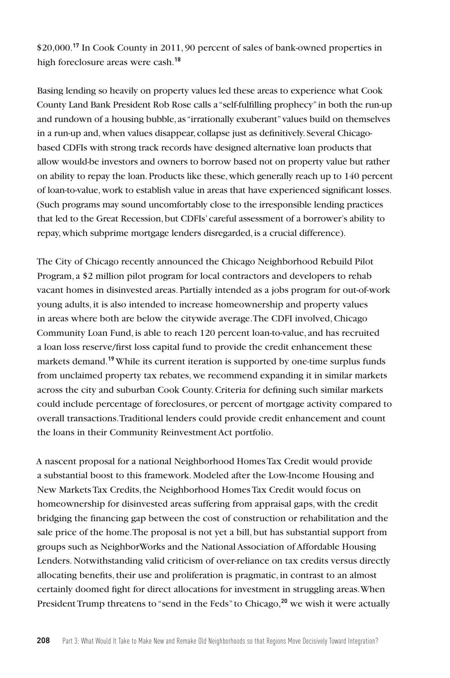\$20,000.**<sup>17</sup>** In Cook County in 2011, 90 percent of sales of bank-owned properties in high foreclosure areas were cash.**<sup>18</sup>**

Basing lending so heavily on property values led these areas to experience what Cook County Land Bank President Rob Rose calls a "self-fulfilling prophecy" in both the run-up and rundown of a housing bubble, as "irrationally exuberant" values build on themselves in a run-up and, when values disappear, collapse just as definitively. Several Chicagobased CDFIs with strong track records have designed alternative loan products that allow would-be investors and owners to borrow based not on property value but rather on ability to repay the loan. Products like these, which generally reach up to 140 percent of loan-to-value, work to establish value in areas that have experienced significant losses. (Such programs may sound uncomfortably close to the irresponsible lending practices that led to the Great Recession, but CDFIs' careful assessment of a borrower's ability to repay, which subprime mortgage lenders disregarded, is a crucial difference).

The City of Chicago recently announced the Chicago Neighborhood Rebuild Pilot Program, a \$2 million pilot program for local contractors and developers to rehab vacant homes in disinvested areas. Partially intended as a jobs program for out-of-work young adults, it is also intended to increase homeownership and property values in areas where both are below the citywide average. The CDFI involved, Chicago Community Loan Fund, is able to reach 120 percent loan-to-value, and has recruited a loan loss reserve/first loss capital fund to provide the credit enhancement these markets demand.**<sup>19</sup>**While its current iteration is supported by one-time surplus funds from unclaimed property tax rebates, we recommend expanding it in similar markets across the city and suburban Cook County. Criteria for defining such similar markets could include percentage of foreclosures, or percent of mortgage activity compared to overall transactions. Traditional lenders could provide credit enhancement and count the loans in their Community Reinvestment Act portfolio.

A nascent proposal for a national Neighborhood Homes Tax Credit would provide a substantial boost to this framework. Modeled after the Low-Income Housing and New Markets Tax Credits, the Neighborhood Homes Tax Credit would focus on homeownership for disinvested areas suffering from appraisal gaps, with the credit bridging the financing gap between the cost of construction or rehabilitation and the sale price of the home. The proposal is not yet a bill, but has substantial support from groups such as NeighborWorks and the National Association of Affordable Housing Lenders. Notwithstanding valid criticism of over-reliance on tax credits versus directly allocating benefits, their use and proliferation is pragmatic, in contrast to an almost certainly doomed fight for direct allocations for investment in struggling areas. When President Trump threatens to "send in the Feds" to Chicago,**20** we wish it were actually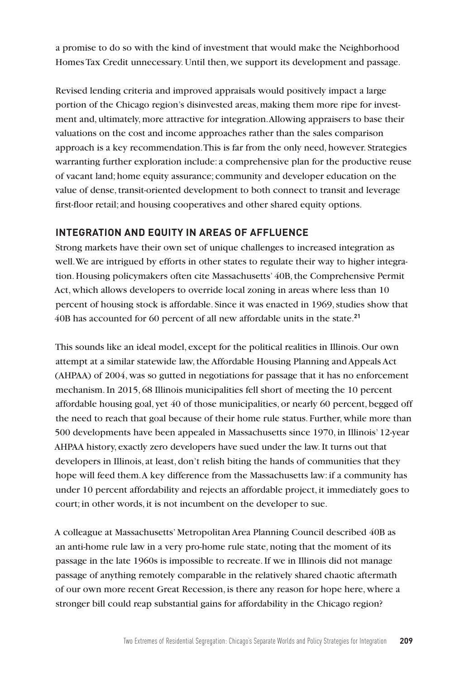a promise to do so with the kind of investment that would make the Neighborhood Homes Tax Credit unnecessary. Until then, we support its development and passage.

Revised lending criteria and improved appraisals would positively impact a large portion of the Chicago region's disinvested areas, making them more ripe for investment and, ultimately, more attractive for integration. Allowing appraisers to base their valuations on the cost and income approaches rather than the sales comparison approach is a key recommendation. This is far from the only need, however. Strategies warranting further exploration include: a comprehensive plan for the productive reuse of vacant land; home equity assurance; community and developer education on the value of dense, transit-oriented development to both connect to transit and leverage first-floor retail; and housing cooperatives and other shared equity options.

## **INTEGRATION AND EQUITY IN AREAS OF AFFLUENCE**

Strong markets have their own set of unique challenges to increased integration as well. We are intrigued by efforts in other states to regulate their way to higher integration. Housing policymakers often cite Massachusetts' 40B, the Comprehensive Permit Act, which allows developers to override local zoning in areas where less than 10 percent of housing stock is affordable. Since it was enacted in 1969, studies show that 40B has accounted for 60 percent of all new affordable units in the state.**<sup>21</sup>**

This sounds like an ideal model, except for the political realities in Illinois. Our own attempt at a similar statewide law, the Affordable Housing Planning and Appeals Act (AHPAA) of 2004, was so gutted in negotiations for passage that it has no enforcement mechanism. In 2015, 68 Illinois municipalities fell short of meeting the 10 percent affordable housing goal, yet 40 of those municipalities, or nearly 60 percent, begged off the need to reach that goal because of their home rule status. Further, while more than 500 developments have been appealed in Massachusetts since 1970, in Illinois' 12-year AHPAA history, exactly zero developers have sued under the law. It turns out that developers in Illinois, at least, don't relish biting the hands of communities that they hope will feed them. A key difference from the Massachusetts law: if a community has under 10 percent affordability and rejects an affordable project, it immediately goes to court; in other words, it is not incumbent on the developer to sue.

A colleague at Massachusetts' Metropolitan Area Planning Council described 40B as an anti-home rule law in a very pro-home rule state, noting that the moment of its passage in the late 1960s is impossible to recreate. If we in Illinois did not manage passage of anything remotely comparable in the relatively shared chaotic aftermath of our own more recent Great Recession, is there any reason for hope here, where a stronger bill could reap substantial gains for affordability in the Chicago region?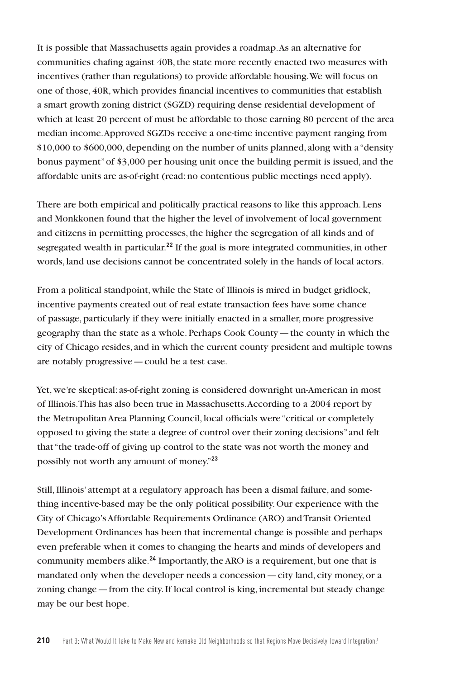It is possible that Massachusetts again provides a roadmap. As an alternative for communities chafing against 40B, the state more recently enacted two measures with incentives (rather than regulations) to provide affordable housing. We will focus on one of those, 40R, which provides financial incentives to communities that establish a smart growth zoning district (SGZD) requiring dense residential development of which at least 20 percent of must be affordable to those earning 80 percent of the area median income. Approved SGZDs receive a one-time incentive payment ranging from \$10,000 to \$600,000, depending on the number of units planned, along with a "density bonus payment" of \$3,000 per housing unit once the building permit is issued, and the affordable units are as-of-right (read: no contentious public meetings need apply).

There are both empirical and politically practical reasons to like this approach. Lens and Monkkonen found that the higher the level of involvement of local government and citizens in permitting processes, the higher the segregation of all kinds and of segregated wealth in particular.**<sup>22</sup>** If the goal is more integrated communities, in other words, land use decisions cannot be concentrated solely in the hands of local actors.

From a political standpoint, while the State of Illinois is mired in budget gridlock, incentive payments created out of real estate transaction fees have some chance of passage, particularly if they were initially enacted in a smaller, more progressive geography than the state as a whole. Perhaps Cook County—the county in which the city of Chicago resides, and in which the current county president and multiple towns are notably progressive—could be a test case.

Yet, we're skeptical: as-of-right zoning is considered downright un-American in most of Illinois. This has also been true in Massachusetts. According to a 2004 report by the Metropolitan Area Planning Council, local officials were "critical or completely opposed to giving the state a degree of control over their zoning decisions" and felt that "the trade-off of giving up control to the state was not worth the money and possibly not worth any amount of money."**<sup>23</sup>**

Still, Illinois' attempt at a regulatory approach has been a dismal failure, and something incentive-based may be the only political possibility. Our experience with the City of Chicago's Affordable Requirements Ordinance (ARO) and Transit Oriented Development Ordinances has been that incremental change is possible and perhaps even preferable when it comes to changing the hearts and minds of developers and community members alike.**<sup>24</sup>** Importantly, the ARO is a requirement, but one that is mandated only when the developer needs a concession—city land, city money, or a zoning change—from the city. If local control is king, incremental but steady change may be our best hope.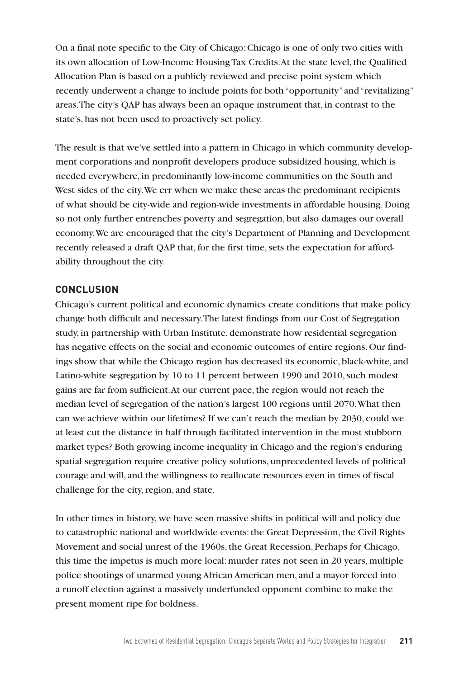On a final note specific to the City of Chicago: Chicago is one of only two cities with its own allocation of Low-Income Housing Tax Credits. At the state level, the Qualified Allocation Plan is based on a publicly reviewed and precise point system which recently underwent a change to include points for both "opportunity" and "revitalizing" areas. The city's QAP has always been an opaque instrument that, in contrast to the state's, has not been used to proactively set policy.

The result is that we've settled into a pattern in Chicago in which community development corporations and nonprofit developers produce subsidized housing, which is needed everywhere, in predominantly low-income communities on the South and West sides of the city. We err when we make these areas the predominant recipients of what should be city-wide and region-wide investments in affordable housing. Doing so not only further entrenches poverty and segregation, but also damages our overall economy. We are encouraged that the city's Department of Planning and Development recently released a draft QAP that, for the first time, sets the expectation for affordability throughout the city.

#### **CONCLUSION**

Chicago's current political and economic dynamics create conditions that make policy change both difficult and necessary. The latest findings from our Cost of Segregation study, in partnership with Urban Institute, demonstrate how residential segregation has negative effects on the social and economic outcomes of entire regions. Our findings show that while the Chicago region has decreased its economic, black-white, and Latino-white segregation by 10 to 11 percent between 1990 and 2010, such modest gains are far from sufficient. At our current pace, the region would not reach the median level of segregation of the nation's largest 100 regions until 2070. What then can we achieve within our lifetimes? If we can't reach the median by 2030, could we at least cut the distance in half through facilitated intervention in the most stubborn market types? Both growing income inequality in Chicago and the region's enduring spatial segregation require creative policy solutions, unprecedented levels of political courage and will, and the willingness to reallocate resources even in times of fiscal challenge for the city, region, and state.

In other times in history, we have seen massive shifts in political will and policy due to catastrophic national and worldwide events: the Great Depression, the Civil Rights Movement and social unrest of the 1960s, the Great Recession. Perhaps for Chicago, this time the impetus is much more local: murder rates not seen in 20 years, multiple police shootings of unarmed young African American men, and a mayor forced into a runoff election against a massively underfunded opponent combine to make the present moment ripe for boldness.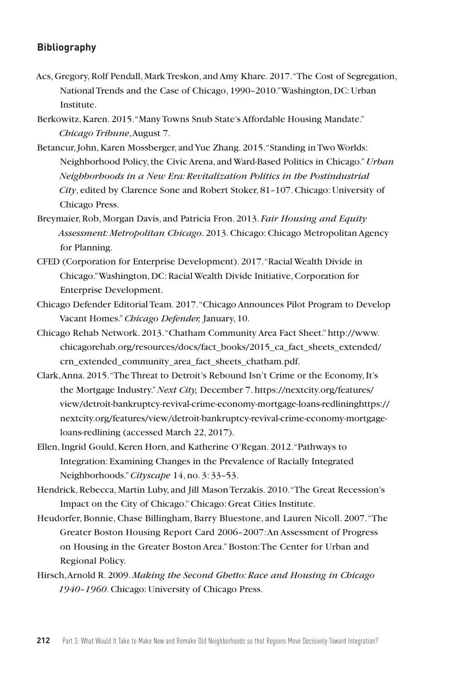### **Bibliography**

- Acs, Gregory, Rolf Pendall, Mark Treskon, and Amy Khare. 2017. "The Cost of Segregation, National Trends and the Case of Chicago, 1990–2010." Washington, DC: Urban Institute.
- Berkowitz, Karen. 2015. "Many Towns Snub State's Affordable Housing Mandate." *Chicago Tribune*, August 7.
- Betancur, John, Karen Mossberger, and Yue Zhang. 2015. "Standing in Two Worlds: Neighborhood Policy, the Civic Arena, and Ward-Based Politics in Chicago."*Urban Neighborhoods in a New Era: Revitalization Politics in the Postindustrial City*, edited by Clarence Sone and Robert Stoker, 81–107. Chicago: University of Chicago Press.
- Breymaier, Rob, Morgan Davis, and Patricia Fron. 2013. *Fair Housing and Equity Assessment: Metropolitan Chicago*. 2013. Chicago: Chicago Metropolitan Agency for Planning.
- CFED (Corporation for Enterprise Development). 2017. "Racial Wealth Divide in Chicago." Washington, DC: Racial Wealth Divide Initiative, Corporation for Enterprise Development.
- Chicago Defender Editorial Team. 2017. "Chicago Announces Pilot Program to Develop Vacant Homes." *Chicago Defender,* January, 10.
- Chicago Rehab Network. 2013. "Chatham Community Area Fact Sheet." http://www. chicagorehab.org/resources/docs/fact\_books/2015\_ca\_fact\_sheets\_extended/ crn\_extended\_community\_area\_fact\_sheets\_chatham.pdf.
- Clark, Anna. 2015. "The Threat to Detroit's Rebound Isn't Crime or the Economy, It's the Mortgage Industry." *Next City,* December 7. https://nextcity.org/features/ view/detroit-bankruptcy-revival-crime-economy-mortgage-loans-redlininghttps:// nextcity.org/features/view/detroit-bankruptcy-revival-crime-economy-mortgageloans-redlining (accessed March 22, 2017).
- Ellen, Ingrid Gould, Keren Horn, and Katherine O'Regan. 2012. "Pathways to Integration: Examining Changes in the Prevalence of Racially Integrated Neighborhoods."*Cityscape* 14, no. 3: 33–53.
- Hendrick, Rebecca, Martin Luby, and Jill Mason Terzakis. 2010. "The Great Recession's Impact on the City of Chicago."Chicago: Great Cities Institute.
- Heudorfer, Bonnie, Chase Billingham, Barry Bluestone, and Lauren Nicoll. 2007. "The Greater Boston Housing Report Card 2006–2007: An Assessment of Progress on Housing in the Greater Boston Area." Boston: The Center for Urban and Regional Policy.
- Hirsch, Arnold R. 2009. *Making the Second Ghetto: Race and Housing in Chicago 1940–1960*. Chicago: University of Chicago Press.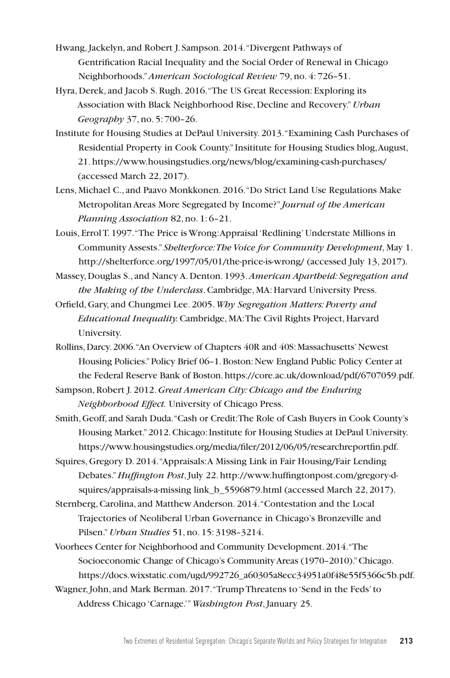- Hwang, Jackelyn, and Robert J. Sampson. 2014. "Divergent Pathways of Gentrification Racial Inequality and the Social Order of Renewal in Chicago Neighborhoods."*American Sociological Review* 79, no. 4: 726–51.
- Hyra, Derek, and Jacob S. Rugh. 2016. "The US Great Recession: Exploring its Association with Black Neighborhood Rise, Decline and Recovery."*Urban Geography* 37, no. 5: 700–26.
- Institute for Housing Studies at DePaul University. 2013. "Examining Cash Purchases of Residential Property in Cook County." Insititute for Housing Studies blog, August, 21. https://www.housingstudies.org/news/blog/examining-cash-purchases/ (accessed March 22, 2017).
- Lens, Michael C., and Paavo Monkkonen. 2016. "Do Strict Land Use Regulations Make Metropolitan Areas More Segregated by Income?" *Journal of the American Planning Association* 82, no. 1: 6–21.
- Louis, Errol T. 1997. "The Price is Wrong: Appraisal 'Redlining' Understate Millions in Community Assests." *Shelterforce: The Voice for Community Development*, May 1. http://shelterforce.org/1997/05/01/the-price-is-wrong/ (accessed July 13, 2017).
- Massey, Douglas S., and Nancy A. Denton. 1993. *American Apartheid: Segregation and the Making of the Underclass*. Cambridge, MA: Harvard University Press.
- Orfield, Gary, and Chungmei Lee. 2005. *Why Segregation Matters: Poverty and Educational Inequality.* Cambridge, MA: The Civil Rights Project, Harvard University.
- Rollins, Darcy.2006. "An Overview of Chapters 40R and 40S: Massachusetts' Newest Housing Policies." Policy Brief 06–1. Boston: New England Public Policy Center at the Federal Reserve Bank of Boston. https://core.ac.uk/download/pdf/6707059.pdf.
- Sampson, Robert J. 2012. *Great American City: Chicago and the Enduring Neighborhood Effect.* University of Chicago Press.
- Smith, Geoff, and Sarah Duda. "Cash or Credit: The Role of Cash Buyers in Cook County's Housing Market." 2012. Chicago: Institute for Housing Studies at DePaul University. https://www.housingstudies.org/media/filer/2012/06/05/researchreportfin.pdf.
- Squires, Gregory D. 2014. "Appraisals: A Missing Link in Fair Housing/Fair Lending Debates." *Huffington Post*, July 22. http://www.huffingtonpost.com/gregory-dsquires/appraisals-a-missing link b 5596879.html (accessed March 22, 2017).
- Sternberg, Carolina, and Matthew Anderson. 2014. "Contestation and the Local Trajectories of Neoliberal Urban Governance in Chicago's Bronzeville and Pilsen."*Urban Studies* 51, no. 15: 3198–3214.
- Voorhees Center for Neighborhood and Community Development. 2014. "The Socioeconomic Change of Chicago's Community Areas (1970–2010)." Chicago. https://docs.wixstatic.com/ugd/992726\_a60305a8ecc34951a0f48e55f5366c5b.pdf.
- Wagner, John, and Mark Berman. 2017. "Trump Threatens to 'Send in the Feds' to Address Chicago 'Carnage.'" *Washington Post*, January 25.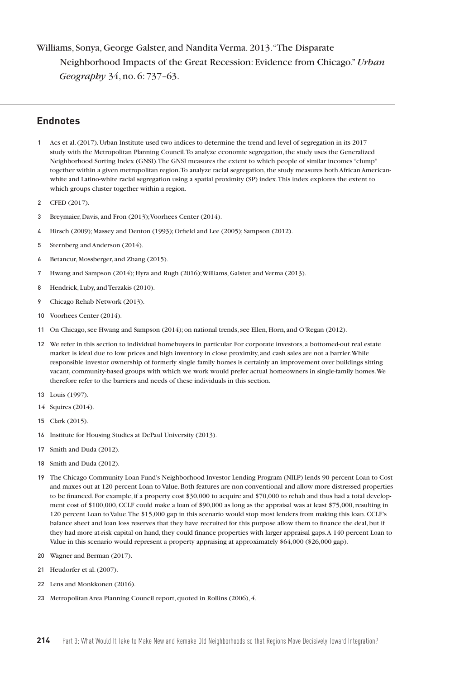Williams, Sonya, George Galster, and Nandita Verma. 2013. "The Disparate Neighborhood Impacts of the Great Recession: Evidence from Chicago."*Urban Geography* 34, no. 6: 737–63.

### **Endnotes**

- 1 Acs et al. (2017). Urban Institute used two indices to determine the trend and level of segregation in its 2017 study with the Metropolitan Planning Council. To analyze economic segregation, the study uses the Generalized Neighborhood Sorting Index (GNSI). The GNSI measures the extent to which people of similar incomes "clump" together within a given metropolitan region. To analyze racial segregation, the study measures both African Americanwhite and Latino-white racial segregation using a spatial proximity (SP) index. This index explores the extent to which groups cluster together within a region.
- 2 CFED (2017).
- 3 Breymaier, Davis, and Fron (2013); Voorhees Center (2014).
- 4 Hirsch (2009); Massey and Denton (1993); Orfield and Lee (2005); Sampson (2012).
- 5 Sternberg and Anderson (2014).
- 6 Betancur, Mossberger, and Zhang (2015).
- 7 Hwang and Sampson (2014); Hyra and Rugh (2016); Williams, Galster, and Verma (2013).
- 8 Hendrick, Luby, and Terzakis (2010).
- 9 Chicago Rehab Network (2013).
- 10 Voorhees Center (2014).
- 11 On Chicago, see Hwang and Sampson (2014); on national trends, see Ellen, Horn, and O'Regan (2012).
- 12 We refer in this section to individual homebuyers in particular. For corporate investors, a bottomed-out real estate market is ideal due to low prices and high inventory in close proximity, and cash sales are not a barrier. While responsible investor ownership of formerly single family homes is certainly an improvement over buildings sitting vacant, community-based groups with which we work would prefer actual homeowners in single-family homes. We therefore refer to the barriers and needs of these individuals in this section.
- 13 Louis (1997).
- 14 Squires (2014).
- 15 Clark (2015).
- 16 Institute for Housing Studies at DePaul University (2013).
- 17 Smith and Duda (2012).
- 18 Smith and Duda (2012).
- 19 The Chicago Community Loan Fund's Neighborhood Investor Lending Program (NILP) lends 90 percent Loan to Cost and maxes out at 120 percent Loan to Value. Both features are non-conventional and allow more distressed properties to be financed. For example, if a property cost \$30,000 to acquire and \$70,000 to rehab and thus had a total development cost of \$100,000, CCLF could make a loan of \$90,000 as long as the appraisal was at least \$75,000, resulting in 120 percent Loan to Value. The \$15,000 gap in this scenario would stop most lenders from making this loan. CCLF's balance sheet and loan loss reserves that they have recruited for this purpose allow them to finance the deal, but if they had more at-risk capital on hand, they could finance properties with larger appraisal gaps. A 140 percent Loan to Value in this scenario would represent a property appraising at approximately \$64,000 (\$26,000 gap).
- 20 Wagner and Berman (2017).
- 21 Heudorfer et al. (2007).
- 22 Lens and Monkkonen (2016).
- 23 Metropolitan Area Planning Council report, quoted in Rollins (2006), 4.